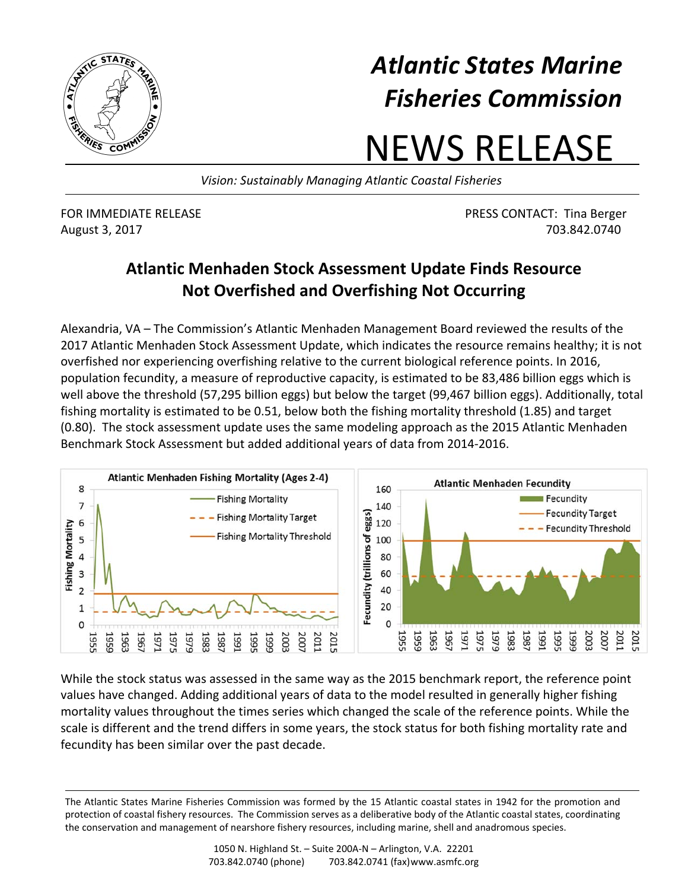

## *Atlantic States Marine Fisheries Commission*

## NEWS RELEASE

*Vision: Sustainably Managing Atlantic Coastal Fisheries*

FOR IMMEDIATE RELEASE PRESS CONTACT: Tina Berger August 3, 2017 703.842.0740

## **Atlantic Menhaden Stock Assessment Update Finds Resource Not Overfished and Overfishing Not Occurring**

Alexandria, VA – The Commission's Atlantic Menhaden Management Board reviewed the results of the 2017 Atlantic Menhaden Stock Assessment Update, which indicates the resource remains healthy; it is not overfished nor experiencing overfishing relative to the current biological reference points. In 2016, population fecundity, a measure of reproductive capacity, is estimated to be 83,486 billion eggs which is well above the threshold (57,295 billion eggs) but below the target (99,467 billion eggs). Additionally, total fishing mortality is estimated to be 0.51, below both the fishing mortality threshold (1.85) and target (0.80). The stock assessment update uses the same modeling approach as the 2015 Atlantic Menhaden Benchmark Stock Assessment but added additional years of data from 2014‐2016.



While the stock status was assessed in the same way as the 2015 benchmark report, the reference point values have changed. Adding additional years of data to the model resulted in generally higher fishing mortality values throughout the times series which changed the scale of the reference points. While the scale is different and the trend differs in some years, the stock status for both fishing mortality rate and fecundity has been similar over the past decade.

The Atlantic States Marine Fisheries Commission was formed by the 15 Atlantic coastal states in 1942 for the promotion and protection of coastal fishery resources. The Commission serves as a deliberative body of the Atlantic coastal states, coordinating the conservation and management of nearshore fishery resources, including marine, shell and anadromous species.